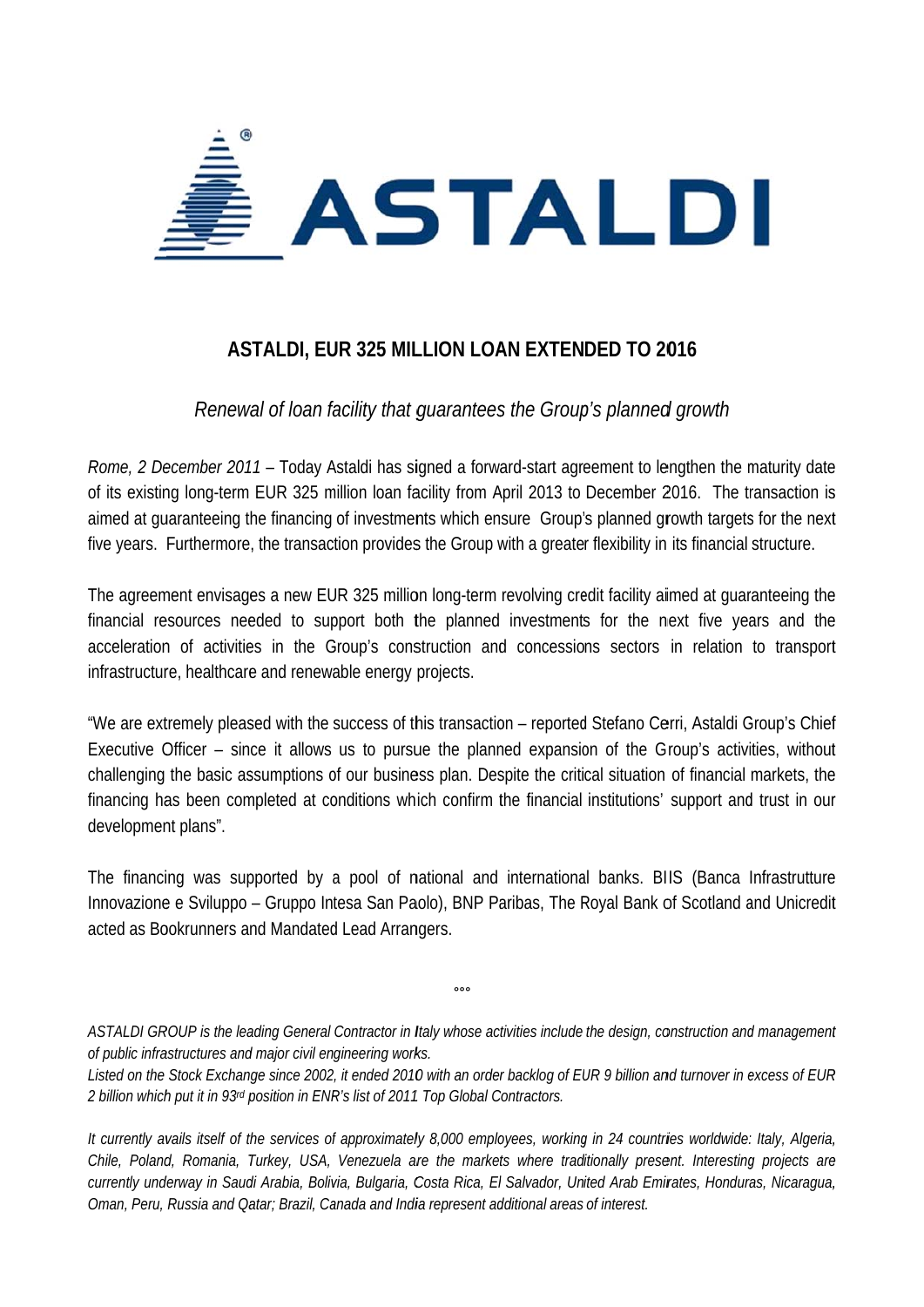

## ASTALDI. EUR 325 MILLION LOAN EXTENDED TO 2016

## Renewal of loan facility that quarantees the Group's planned growth

Rome, 2 December 2011 – Today Astaldi has signed a forward-start agreement to lengthen the maturity date of its existing long-term EUR 325 million loan facility from April 2013 to December 2016. The transaction is aimed at quaranteeing the financing of investments which ensure Group's planned growth targets for the next five years. Furthermore, the transaction provides the Group with a greater flexibility in its financial structure.

The agreement envisages a new EUR 325 million long-term revolving credit facility aimed at guaranteeing the financial resources needed to support both the planned investments for the next five years and the acceleration of activities in the Group's construction and concessions sectors in relation to transport infrastructure, healthcare and renewable energy projects.

"We are extremely pleased with the success of this transaction – reported Stefano Cerri, Astaldi Group's Chief Executive Officer – since it allows us to pursue the planned expansion of the Group's activities, without challenging the basic assumptions of our business plan. Despite the critical situation of financial markets, the financing has been completed at conditions which confirm the financial institutions' support and trust in our development plans".

The financing was supported by a pool of national and international banks. BIIS (Banca Infrastrutture Innovazione e Sviluppo – Gruppo Intesa San Paolo), BNP Paribas, The Royal Bank of Scotland and Unicredit acted as Bookrunners and Mandated Lead Arrangers.

ASTALDI GROUP is the leading General Contractor in Italy whose activities include the design, construction and management of public infrastructures and major civil engineering works.

 $000$ 

Listed on the Stock Exchange since 2002, it ended 2010 with an order backlog of EUR 9 billion and turnover in excess of EUR 2 billion which put it in 93rd position in ENR's list of 2011 Top Global Contractors.

It currently avails itself of the services of approximately 8,000 employees, working in 24 countries worldwide: Italy, Algeria, Chile, Poland, Romania, Turkey, USA, Venezuela are the markets where traditionally present. Interesting projects are currently underway in Saudi Arabia, Bolivia, Bulgaria, Costa Rica, El Salvador, United Arab Emirates, Honduras, Nicaragua, Oman, Peru, Russia and Qatar; Brazil, Canada and India represent additional areas of interest.